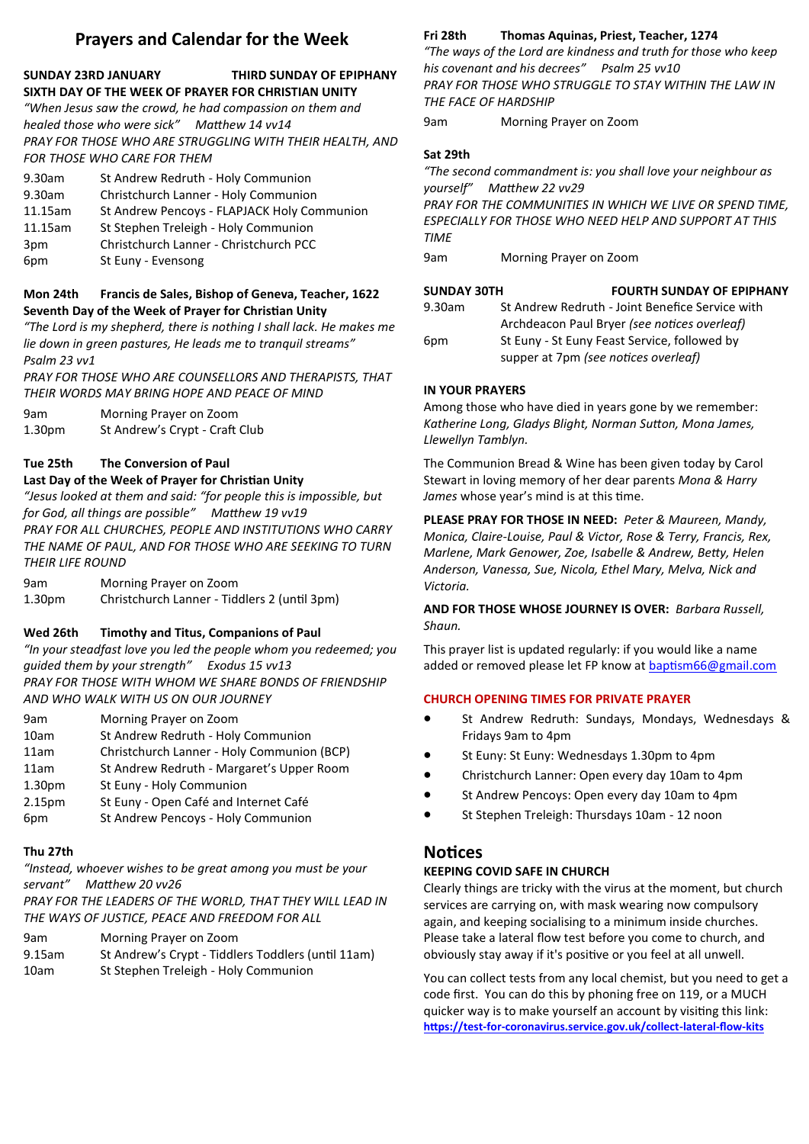# **Prayers and Calendar for the Week**

#### **SUNDAY 23RD JANUARY THIRD SUNDAY OF EPIPHANY SIXTH DAY OF THE WEEK OF PRAYER FOR CHRISTIAN UNITY**

*"When Jesus saw the crowd, he had compassion on them and healed those who were sick" Matthew 14 vv14* **PRAY FOR THOSE WHO ARE STRUGGLING WITH THEIR HEALTH, AND** *FOR THOSE WHO CARE FOR THEM*

| St Andrew Redruth - Holy Communion          |
|---------------------------------------------|
| Christchurch Lanner - Holy Communion        |
| St Andrew Pencoys - FLAPJACK Holy Communion |
| St Stephen Treleigh - Holy Communion        |
| Christchurch Lanner - Christchurch PCC      |
| St Euny - Evensong                          |
|                                             |

#### **Mon 24th Francis de Sales, Bishop of Geneva, Teacher, 1622 Seventh Day of the Week of Prayer for Christian Unity**

*"The Lord is my shepherd, there is nothing I shall lack. He makes me lie down in green pastures, He leads me to tranquil streams" Psalm 23 vv1*

*PRAY FOR THOSE WHO ARE COUNSELLORS AND THERAPISTS, THAT THEIR WORDS MAY BRING HOPE AND PEACE OF MIND*

| 9am                | Morning Prayer on Zoom         |
|--------------------|--------------------------------|
| 1.30 <sub>pm</sub> | St Andrew's Crypt - Craft Club |

#### **Tue 25th The Conversion of Paul**

#### **Last Day of the Week of Prayer for Christian Unity**

*"Jesus looked at them and said: "for people this is impossible, but for God, all things are possible" Matthew 19 vv19 PRAY FOR ALL CHURCHES, PEOPLE AND INSTITUTIONS WHO CARRY THE NAME OF PAUL, AND FOR THOSE WHO ARE SEEKING TO TURN THEIR LIFE ROUND*

9am Morning Prayer on Zoom 1.30pm Christchurch Lanner - Tiddlers 2 (until 3pm)

#### **Wed 26th Timothy and Titus, Companions of Paul**

*"In your steadfast love you led the people whom you redeemed; you guided them by your strength" Exodus 15 vv13 PRAY FOR THOSE WITH WHOM WE SHARE BONDS OF FRIENDSHIP AND WHO WALK WITH US ON OUR JOURNEY*

| 9am                | Morning Prayer on Zoom                     |
|--------------------|--------------------------------------------|
| 10am               | St Andrew Redruth - Holy Communion         |
| 11am               | Christchurch Lanner - Holy Communion (BCP) |
| 11am               | St Andrew Redruth - Margaret's Upper Room  |
| 1.30 <sub>pm</sub> | St Euny - Holy Communion                   |
| 2.15pm             | St Euny - Open Café and Internet Café      |
| 6pm                | St Andrew Pencoys - Holy Communion         |
|                    |                                            |

#### **Thu 27th**

*"Instead, whoever wishes to be great among you must be your servant" Matthew 20 vv26*

*PRAY FOR THE LEADERS OF THE WORLD, THAT THEY WILL LEAD IN THE WAYS OF JUSTICE, PEACE AND FREEDOM FOR ALL*

| 9.15am | St Andrew's Crypt - Tiddlers Toddlers (until 11am) |
|--------|----------------------------------------------------|
| 10am   | St Stephen Treleigh - Holy Communion               |

#### **Fri 28th Thomas Aquinas, Priest, Teacher, 1274**

*"The ways of the Lord are kindness and truth for those who keep his covenant and his decrees" Psalm 25 vv10 PRAY FOR THOSE WHO STRUGGLE TO STAY WITHIN THE LAW IN THE FACE OF HARDSHIP*

9am Morning Prayer on Zoom

#### **Sat 29th**

*"The second commandment is: you shall love your neighbour as yourself" Matthew 22 vv29*

*PRAY FOR THE COMMUNITIES IN WHICH WE LIVE OR SPEND TIME, ESPECIALLY FOR THOSE WHO NEED HELP AND SUPPORT AT THIS TIME*

9am Morning Prayer on Zoom

# **SUNDAY 30TH FOURTH SUNDAY OF EPIPHANY**

| 9.30am | St Andrew Redruth - Joint Benefice Service with |
|--------|-------------------------------------------------|
|        | Archdeacon Paul Bryer (see notices overleaf)    |
| 6pm    | St Euny - St Euny Feast Service, followed by    |
|        | supper at 7pm (see notices overleaf)            |

#### **IN YOUR PRAYERS**

Among those who have died in years gone by we remember: *Katherine Long, Gladys Blight, Norman Sutton, Mona James, Llewellyn Tamblyn.*

The Communion Bread & Wine has been given today by Carol Stewart in loving memory of her dear parents *Mona & Harry James* whose year's mind is at this time.

**PLEASE PRAY FOR THOSE IN NEED:** *Peter & Maureen, Mandy, Monica, Claire-Louise, Paul & Victor, Rose & Terry, Francis, Rex, Marlene, Mark Genower, Zoe, Isabelle & Andrew, Betty, Helen Anderson, Vanessa, Sue, Nicola, Ethel Mary, Melva, Nick and Victoria.*

**AND FOR THOSE WHOSE JOURNEY IS OVER:** *Barbara Russell, Shaun.*

This prayer list is updated regularly: if you would like a name added or removed please let FP know at [baptism66@gmail.com](mailto:baptism66@gmail.com)

#### **CHURCH OPENING TIMES FOR PRIVATE PRAYER**

- St Andrew Redruth: Sundays, Mondays, Wednesdays & Fridays 9am to 4pm
- St Euny: St Euny: Wednesdays 1.30pm to 4pm
- Christchurch Lanner: Open every day 10am to 4pm
- St Andrew Pencoys: Open every day 10am to 4pm
- St Stephen Treleigh: Thursdays 10am 12 noon

# **Notices**

#### **KEEPING COVID SAFE IN CHURCH**

Clearly things are tricky with the virus at the moment, but church services are carrying on, with mask wearing now compulsory again, and keeping socialising to a minimum inside churches. Please take a lateral flow test before you come to church, and obviously stay away if it's positive or you feel at all unwell.

You can collect tests from any local chemist, but you need to get a code first. You can do this by phoning free on 119, or a MUCH quicker way is to make yourself an account by visiting this link: **https://test-for-[coronavirus.service.gov.uk/collect](https://test-for-coronavirus.service.gov.uk/collect-lateral-flow-kits)-lateral-flow-kits**